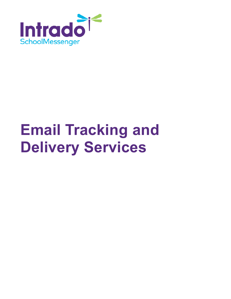

# **Email Tracking and Delivery Services**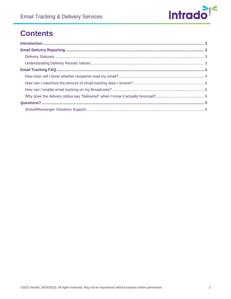

## **Contents**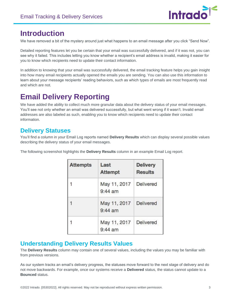

### <span id="page-2-0"></span>**Introduction**

We have removed a bit of the mystery around just what happens to an email message after you click "Send Now".

Detailed reporting features let you be certain that your email was successfully delivered, and if it was not, you can see why it failed. This includes letting you know whether a recipient's email address is invalid, making it easier for you to know which recipients need to update their contact information.

In addition to knowing that your email was successfully delivered, the email tracking feature helps you gain insight into how many email recipients actually opened the emails you are sending. You can also use this information to learn about your message recipients' reading behaviors, such as which types of emails are most frequently read and which are not.

# <span id="page-2-1"></span>**Email Delivery Reporting**

We have added the ability to collect much more granular data about the delivery status of your email messages. You'll see not only whether an email was delivered successfully, but what went wrong if it wasn't. Invalid email addresses are also labeled as such, enabling you to know which recipients need to update their contact information.

#### <span id="page-2-2"></span>**Delivery Statuses**

You'll find a column in your Email Log reports named **Delivery Results** which can display several possible values describing the delivery status of your email messages.

The following screenshot highlights the **Delivery Results** column in an example Email Log report.

| <b>Attempts</b> | Last<br><b>Attempt</b>    | <b>Delivery</b><br><b>Results</b> |
|-----------------|---------------------------|-----------------------------------|
|                 | May 11, 2017<br>$9:44$ am | <b>Delivered</b>                  |
|                 | May 11, 2017<br>$9:44$ am | Delivered                         |
|                 | May 11, 2017<br>$9:44$ am | Delivered                         |

#### <span id="page-2-3"></span>**Understanding Delivery Results Values**

The **Delivery Results** column may contain one of several values, including the values you may be familiar with from previous versions.

As our system tracks an email's delivery progress, the statuses move forward to the next stage of delivery and do not move backwards. For example, once our systems receive a **Delivered** status, the status cannot update to a **Bounced** status.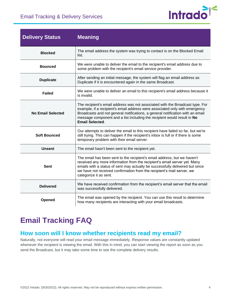

| <b>Delivery Status</b>                                                                                                                                   | <b>Meaning</b>                                                                                                                                                                                                                                                                                                                                      |  |
|----------------------------------------------------------------------------------------------------------------------------------------------------------|-----------------------------------------------------------------------------------------------------------------------------------------------------------------------------------------------------------------------------------------------------------------------------------------------------------------------------------------------------|--|
| <b>Blocked</b>                                                                                                                                           | The email address the system was trying to contact is on the Blocked Email<br>list.                                                                                                                                                                                                                                                                 |  |
| <b>Bounced</b>                                                                                                                                           | We were unable to deliver the email to the recipient's email address due to<br>some problem with the recipient's email service provider.                                                                                                                                                                                                            |  |
| <b>Duplicate</b>                                                                                                                                         | After sending an initial message, the system will flag an email address as<br>Duplicate if it is encountered again in the same Broadcast.                                                                                                                                                                                                           |  |
| <b>Failed</b>                                                                                                                                            | We were unable to deliver an email to this recipient's email address because it<br>is invalid.                                                                                                                                                                                                                                                      |  |
| <b>No Email Selected</b>                                                                                                                                 | The recipient's email address was not associated with the Broadcast type. For<br>example, if a recipient's email address were associated only with emergency<br>Broadcasts and not general notifications, a general notification with an email<br>message component and a list including the recipient would result in No<br><b>Email Selected.</b> |  |
| <b>Soft Bounced</b>                                                                                                                                      | Our attempts to deliver the email to this recipient have failed so far, but we're<br>still trying. This can happen if the recipient's inbox is full or if there is some<br>temporary problem with their email server.                                                                                                                               |  |
| <b>Unsent</b>                                                                                                                                            | The email hasn't been sent to the recipient yet.                                                                                                                                                                                                                                                                                                    |  |
| <b>Sent</b>                                                                                                                                              | The email has been sent to the recipient's email address, but we haven't<br>received any more information from the recipient's email server yet. Many<br>emails with a status of sent may actually be successfully delivered but since<br>we have not received confirmation from the recipient's mail server, we<br>categorize it as sent.          |  |
| <b>Delivered</b>                                                                                                                                         | We have received confirmation from the recipient's email server that the email<br>was successfully delivered.                                                                                                                                                                                                                                       |  |
| The email was opened by the recipient. You can use this result to determine<br>Opened<br>how many recipients are interacting with your email broadcasts. |                                                                                                                                                                                                                                                                                                                                                     |  |

# <span id="page-3-0"></span>**Email Tracking FAQ**

#### <span id="page-3-1"></span>**How soon will I know whether recipients read my email?**

<span id="page-3-2"></span>Naturally, not everyone will read your email message immediately. Response values are constantly updated whenever the recipient is viewing the email. With this in mind, you can start viewing the report as soon as you send the Broadcast, but it may take some time to see the complete delivery results.